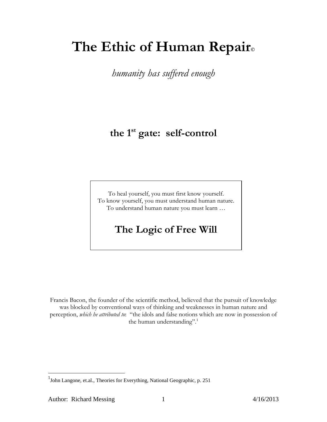# **The Ethic of Human Repair©**

*humanity has suffered enough*

# **the 1st gate: self-control**

To heal yourself, you must first know yourself. To know yourself, you must understand human nature. To understand human nature you must learn …

# **The Logic of Free Will**

Francis Bacon, the founder of the scientific method, believed that the pursuit of knowledge was blocked by conventional ways of thinking and weaknesses in human nature and perception, *which he attributed to*: "the idols and false notions which are now in possession of the human understanding".<sup>1</sup>

 $\overline{a}$ 

<sup>&</sup>lt;sup>1</sup>John Langone, et.al., Theories for Everything, National Geographic, p. 251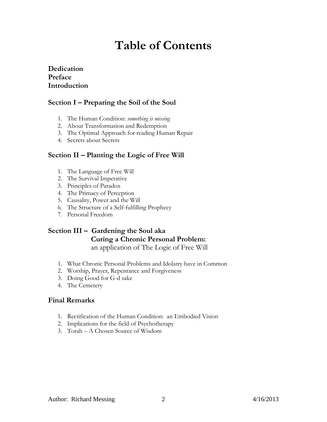# **Table of Contents**

#### **Dedication Preface Introduction**

### **Section I – Preparing the Soil of the Soul**

- 1. The Human Condition: *something is missing*
- 2. About Transformation and Redemption
- 3. [The Optimal Approach for reading Human Repair](#page-15-0)
- 4. Secrets about Secrets

#### **Section II – Planting the Logic of Free Will**

- 1. The Language of Free Will
- 2. The Survival Imperative
- 3. Principles of Paradox
- 4. The Primacy of Perception
- 5. Causality, Power and the Will
- 6. The Structure of a Self-fulfilling Prophecy
- 7. Personal Freedom

# **Section III – Gardening the Soul aka Curing a Chronic Personal Problem:**

an application of The Logic of Free Will

- 1. What Chronic Personal Problems and Idolatry have in Common
- 2. Worship, Prayer, Repentance and Forgiveness
- 3. Doing Good for G-d sake
- 4. The Cemetery

#### **Final Remarks**

- 1. Rectification of the Human Condition: an Embodied Vision
- 2. Implications for the field of Psychotherapy
- 3. Torah A Chosen Source of Wisdom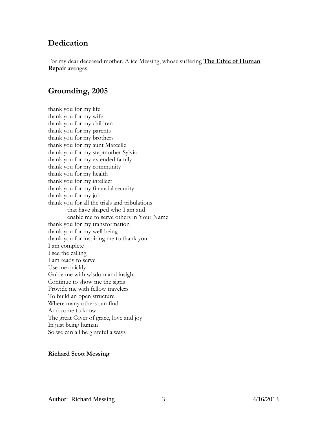## **Dedication**

For my dear deceased mother, Alice Messing, whose suffering **The Ethic of Human Repair** avenges.

## **Grounding, 2005**

thank you for my life thank you for my wife thank you for my children thank you for my parents thank you for my brothers thank you for my aunt Marcelle thank you for my stepmother Sylvia thank you for my extended family thank you for my community thank you for my health thank you for my intellect thank you for my financial security thank you for my job thank you for all the trials and tribulations that have shaped who I am and enable me to serve others in Your Name thank you for my transformation thank you for my well being thank you for inspiring me to thank you I am complete I see the calling I am ready to serve Use me quickly Guide me with wisdom and insight Continue to show me the signs Provide me with fellow travelers To build an open structure Where many others can find And come to know The great Giver of grace, love and joy In just being human So we can all be grateful always

#### **Richard Scott Messing**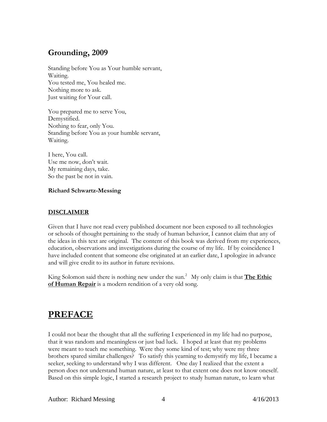## **Grounding, 2009**

Standing before You as Your humble servant, Waiting. You tested me, You healed me. Nothing more to ask. Just waiting for Your call.

You prepared me to serve You, Demystified. Nothing to fear, only You. Standing before You as your humble servant, Waiting.

I here, You call. Use me now, don't wait. My remaining days, take. So the past be not in vain.

#### **Richard Schwartz-Messing**

#### **DISCLAIMER**

Given that I have not read every published document nor been exposed to all technologies or schools of thought pertaining to the study of human behavior, I cannot claim that any of the ideas in this text are original. The content of this book was derived from my experiences, education, observations and investigations during the course of my life. If by coincidence I have included content that someone else originated at an earlier date, I apologize in advance and will give credit to its author in future revisions.

King Solomon said there is nothing new under the sun.<sup>2</sup> My only claim is that **The Ethic of Human Repair** is a modern rendition of a very old song.

# **PREFACE**

I could not bear the thought that all the suffering I experienced in my life had no purpose, that it was random and meaningless or just bad luck. I hoped at least that my problems were meant to teach me something. Were they some kind of test; why were my three brothers spared similar challenges? To satisfy this yearning to demystify my life, I became a seeker, seeking to understand why I was different. One day I realized that the extent a person does not understand human nature, at least to that extent one does not know oneself. Based on this simple logic, I started a research project to study human nature, to learn what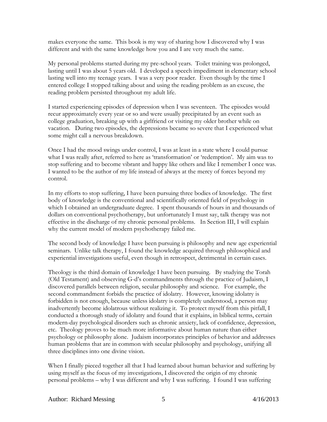makes everyone the same. This book is my way of sharing how I discovered why I was different and with the same knowledge how you and I are very much the same.

My personal problems started during my pre-school years. Toilet training was prolonged, lasting until I was about 5 years old. I developed a speech impediment in elementary school lasting well into my teenage years. I was a very poor reader. Even though by the time I entered college I stopped talking about and using the reading problem as an excuse, the reading problem persisted throughout my adult life.

I started experiencing episodes of depression when I was seventeen. The episodes would recur approximately every year or so and were usually precipitated by an event such as college graduation, breaking up with a girlfriend or visiting my older brother while on vacation. During two episodes, the depressions became so severe that I experienced what some might call a nervous breakdown.

Once I had the mood swings under control, I was at least in a state where I could pursue what I was really after, referred to here as 'transformation' or 'redemption'. My aim was to stop suffering and to become vibrant and happy like others and like I remember I once was. I wanted to be the author of my life instead of always at the mercy of forces beyond my control.

In my efforts to stop suffering, I have been pursuing three bodies of knowledge. The first body of knowledge is the conventional and scientifically oriented field of psychology in which I obtained an undergraduate degree. I spent thousands of hours in and thousands of dollars on conventional psychotherapy, but unfortunately I must say, talk therapy was not effective in the discharge of my chronic personal problems. In Section III, I will explain why the current model of modern psychotherapy failed me.

The second body of knowledge I have been pursuing is philosophy and new age experiential seminars. Unlike talk therapy, I found the knowledge acquired through philosophical and experiential investigations useful, even though in retrospect, detrimental in certain cases.

Theology is the third domain of knowledge I have been pursuing. By studying the Torah (Old Testament) and observing G-d's commandments through the practice of Judaism, I discovered parallels between religion, secular philosophy and science. For example, the second commandment forbids the practice of idolatry. However, knowing idolatry is forbidden is not enough, because unless idolatry is completely understood, a person may inadvertently become idolatrous without realizing it. To protect myself from this pitfall, I conducted a thorough study of idolatry and found that it explains, in biblical terms, certain modern-day psychological disorders such as chronic anxiety, lack of confidence, depression, etc. Theology proves to be much more informative about human nature than either psychology or philosophy alone. Judaism incorporates principles of behavior and addresses human problems that are in common with secular philosophy and psychology, unifying all three disciplines into one divine vision.

When I finally pieced together all that I had learned about human behavior and suffering by using myself as the focus of my investigations, I discovered the origin of my chronic personal problems – why I was different and why I was suffering. I found I was suffering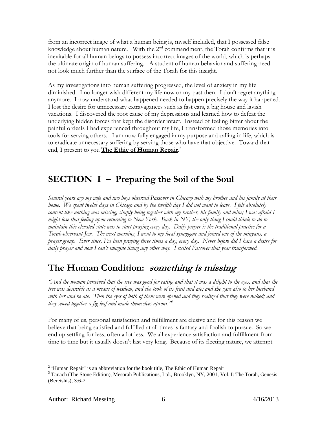from an incorrect image of what a human being is, myself included, that I possessed false knowledge about human nature. With the  $2<sup>nd</sup>$  commandment, the Torah confirms that it is inevitable for all human beings to possess incorrect images of the world, which is perhaps the ultimate origin of human suffering. A student of human behavior and suffering need not look much further than the surface of the Torah for this insight.

As my investigations into human suffering progressed, the level of anxiety in my life diminished. I no longer wish different my life now or my past then. I don't regret anything anymore. I now understand what happened needed to happen precisely the way it happened. I lost the desire for unnecessary extravagances such as fast cars, a big house and lavish vacations. I discovered the root cause of my depressions and learned how to defeat the underlying hidden forces that kept the disorder intact. Instead of feeling bitter about the painful ordeals I had experienced throughout my life, I transformed those memories into tools for serving others. I am now fully engaged in my purpose and calling in life, which is to eradicate unnecessary suffering by serving those who have that objective. Toward that end, I present to you **The Ethic of Human Repair**. 2

# **SECTION I – Preparing the Soil of the Soul**

*Several years ago my wife and two boys observed Passover in Chicago with my brother and his family at their home. We spent twelve days in Chicago and by the twelfth day I did not want to leave. I felt absolutely content like nothing was missing, simply being together with my brother, his family and mine; I was afraid I might lose that feeling upon returning to New York. Back in NY, the only thing I could think to do to maintain this elevated state was to start praying every day. Daily prayer is the traditional practice for a Torah-observant Jew. The next morning, I went to my local synagogue and joined one of the minyans, a prayer group. Ever since, I've been praying three times a day, every day. Never before did I have a desire for daily prayer and now I can't imagine living any other way. I exited Passover that year transformed.* 

# **The Human Condition: something is missing**

*"And the woman perceived that the tree was good for eating and that it was a delight to the eyes, and that the tree was desirable as a means of wisdom, and she took of its fruit and ate; and she gave also to her husband with her and he ate. Then the eyes of both of them were opened and they realized that they were naked; and they sewed together a fig leaf and made themselves aprons."<sup>3</sup>*

For many of us, personal satisfaction and fulfillment are elusive and for this reason we believe that being satisfied and fulfilled at all times is fantasy and foolish to pursue. So we end up settling for less, often a lot less. We all experience satisfaction and fulfillment from time to time but it usually doesn't last very long. Because of its fleeting nature, we attempt

 $\overline{a}$ 

 $2<sup>2</sup>$  'Human Repair' is an abbreviation for the book title, The Ethic of Human Repair

<sup>&</sup>lt;sup>3</sup> Tanach (The Stone Edition), Mesorah Publications, Ltd., Brooklyn, NY, 2001, Vol. I: The Torah, Genesis (Bereishis), 3:6-7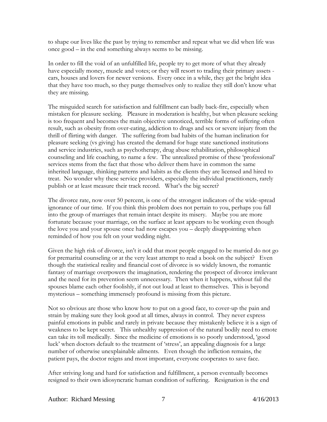to shape our lives like the past by trying to remember and repeat what we did when life was once good – in the end something always seems to be missing.

In order to fill the void of an unfulfilled life, people try to get more of what they already have especially money, muscle and votes; or they will resort to trading their primary assets cars, houses and lovers for newer versions. Every once in a while, they get the bright idea that they have too much, so they purge themselves only to realize they still don't know what they are missing.

The misguided search for satisfaction and fulfillment can badly back-fire, especially when mistaken for pleasure seeking. Pleasure in moderation is healthy, but when pleasure seeking is too frequent and becomes the main objective unnoticed, terrible forms of suffering often result, such as obesity from over-eating, addiction to drugs and sex or severe injury from the thrill of flirting with danger. The suffering from bad habits of the human inclination for pleasure seeking (vs giving) has created the demand for huge state sanctioned institutions and service industries, such as psychotherapy, drug abuse rehabilitation, philosophical counseling and life coaching, to name a few. The unrealized promise of these 'professional' services stems from the fact that those who deliver them have in common the same inherited language, thinking patterns and habits as the clients they are licensed and hired to treat. No wonder why these service providers, especially the individual practitioners, rarely publish or at least measure their track record. What's the big secret?

The divorce rate, now over 50 percent, is one of the strongest indicators of the wide-spread ignorance of our time. If you think this problem does not pertain to you, perhaps you fall into the group of marriages that remain intact despite its misery. Maybe you are more fortunate because your marriage, on the surface at least appears to be working even though the love you and your spouse once had now escapes you – deeply disappointing when reminded of how you felt on your wedding night.

Given the high risk of divorce, isn't it odd that most people engaged to be married do not go for premarital counseling or at the very least attempt to read a book on the subject? Even though the statistical reality and financial cost of divorce is so widely known, the romantic fantasy of marriage overpowers the imagination, rendering the prospect of divorce irrelevant and the need for its prevention seem unnecessary. Then when it happens, without fail the spouses blame each other foolishly, if not out loud at least to themselves. This is beyond mysterious – something immensely profound is missing from this picture.

Not so obvious are those who know how to put on a good face, to cover-up the pain and strain by making sure they look good at all times, always in control. They never express painful emotions in public and rarely in private because they mistakenly believe it is a sign of weakness to be kept secret. This unhealthy suppression of the natural bodily need to emote can take its toll medically. Since the medicine of emotions is so poorly understood, 'good luck' when doctors default to the treatment of 'stress', an appealing diagnosis for a large number of otherwise unexplainable ailments. Even though the infliction remains, the patient pays, the doctor reigns and most important, everyone cooperates to save face.

After striving long and hard for satisfaction and fulfillment, a person eventually becomes resigned to their own idiosyncratic human condition of suffering. Resignation is the end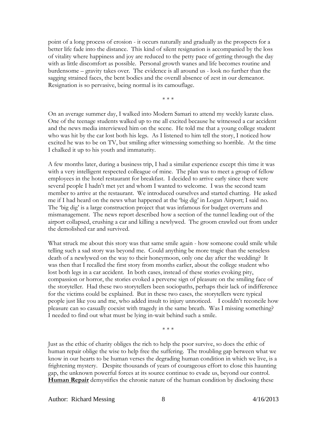point of a long process of erosion - it occurs naturally and gradually as the prospects for a better life fade into the distance. This kind of silent resignation is accompanied by the loss of vitality where happiness and joy are reduced to the petty pace of getting through the day with as little discomfort as possible. Personal growth wanes and life becomes routine and burdensome – gravity takes over. The evidence is all around us - look no further than the sagging strained faces, the bent bodies and the overall absence of zest in our demeanor. Resignation is so pervasive, being normal is its camouflage.

\* \* \*

On an average summer day, I walked into Modern Samari to attend my weekly karate class. One of the teenage students walked up to me all excited because he witnessed a car accident and the news media interviewed him on the scene. He told me that a young college student who was hit by the car lost both his legs. As I listened to him tell the story, I noticed how excited he was to be on TV, but smiling after witnessing something so horrible. At the time I chalked it up to his youth and immaturity.

A few months later, during a business trip, I had a similar experience except this time it was with a very intelligent respected colleague of mine. The plan was to meet a group of fellow employees in the hotel restaurant for breakfast. I decided to arrive early since there were several people I hadn't met yet and whom I wanted to welcome. I was the second team member to arrive at the restaurant. We introduced ourselves and started chatting. He asked me if I had heard on the news what happened at the 'big dig' in Logan Airport; I said no. The 'big dig' is a large construction project that was infamous for budget overruns and mismanagement. The news report described how a section of the tunnel leading out of the airport collapsed, crushing a car and killing a newlywed. The groom crawled out from under the demolished car and survived.

What struck me about this story was that same smile again - how someone could smile while telling such a sad story was beyond me. Could anything be more tragic than the senseless death of a newlywed on the way to their honeymoon, only one day after the wedding? It was then that I recalled the first story from months earlier, about the college student who lost both legs in a car accident. In both cases, instead of these stories evoking pity, compassion or horror, the stories evoked a perverse sign of pleasure on the smiling face of the storyteller. Had these two storytellers been sociopaths, perhaps their lack of indifference for the victims could be explained. But in these two cases, the storytellers were typical people just like you and me, who added insult to injury unnoticed. I couldn't reconcile how pleasure can so casually coexist with tragedy in the same breath. Was I missing something? I needed to find out what must be lying in-wait behind such a smile.

\* \* \*

Just as the ethic of charity obliges the rich to help the poor survive, so does the ethic of human repair oblige the wise to help free the suffering. The troubling gap between what we know in our hearts to be human verses the degrading human condition in which we live, is a frightening mystery. Despite thousands of years of courageous effort to close this haunting gap, the unknown powerful forces at its source continue to evade us, beyond our control. **Human Repair** demystifies the chronic nature of the human condition by disclosing these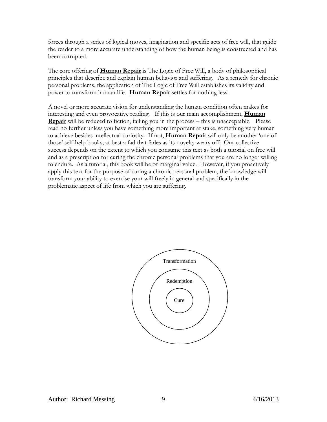forces through a series of logical moves, imagination and specific acts of free will, that guide the reader to a more accurate understanding of how the human being is constructed and has been corrupted.

The core offering of **Human Repair** is The Logic of Free Will, a body of philosophical principles that describe and explain human behavior and suffering. As a remedy for chronic personal problems, the application of The Logic of Free Will establishes its validity and power to transform human life. **Human Repair** settles for nothing less.

A novel or more accurate vision for understanding the human condition often makes for interesting and even provocative reading. If this is our main accomplishment, **Human Repair** will be reduced to fiction, failing you in the process – this is unacceptable. Please read no further unless you have something more important at stake, something very human to achieve besides intellectual curiosity. If not, **Human Repair** will only be another 'one of those' self-help books, at best a fad that fades as its novelty wears off. Our collective success depends on the extent to which you consume this text as both a tutorial on free will and as a prescription for curing the chronic personal problems that you are no longer willing to endure. As a tutorial, this book will be of marginal value. However, if you proactively apply this text for the purpose of curing a chronic personal problem, the knowledge will transform your ability to exercise your will freely in general and specifically in the problematic aspect of life from which you are suffering.

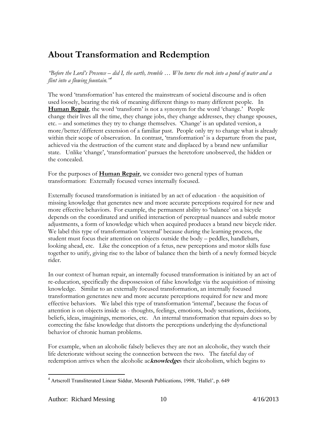# **About Transformation and Redemption**

*"Before the Lord's Presence – did I, the earth, tremble … Who turns the rock into a pond of water and a flint into a flowing fountain."<sup>4</sup>*

The word 'transformation' has entered the mainstream of societal discourse and is often used loosely, bearing the risk of meaning different things to many different people. In **Human Repair**, the word 'transform' is not a synonym for the word 'change.' People change their lives all the time, they change jobs, they change addresses, they change spouses, etc. – and sometimes they try to change themselves. 'Change' is an updated version, a more/better/different extension of a familiar past. People only try to change what is already within their scope of observation. In contrast, 'transformation' is a departure from the past, achieved via the destruction of the current state and displaced by a brand new unfamiliar state. Unlike 'change', 'transformation' pursues the heretofore unobserved, the hidden or the concealed.

For the purposes of **Human Repair**, we consider two general types of human transformation: Externally focused verses internally focused.

Externally focused transformation is initiated by an act of education - the acquisition of missing knowledge that generates new and more accurate perceptions required for new and more effective behaviors. For example, the permanent ability to 'balance' on a bicycle depends on the coordinated and unified interaction of perceptual nuances and subtle motor adjustments, a form of knowledge which when acquired produces a brand new bicycle rider. We label this type of transformation 'external' because during the learning process, the student must focus their attention on objects outside the body – peddles, handlebars, looking ahead, etc. Like the conception of a fetus, new perceptions and motor skills fuse together to unify, giving rise to the labor of balance then the birth of a newly formed bicycle rider.

In our context of human repair, an internally focused transformation is initiated by an act of re-education, specifically the dispossession of false knowledge via the acquisition of missing knowledge. Similar to an externally focused transformation, an internally focused transformation generates new and more accurate perceptions required for new and more effective behaviors. We label this type of transformation 'internal', because the focus of attention is on objects inside us - thoughts, feelings, emotions, body sensations, decisions, beliefs, ideas, imaginings, memories, etc. An internal transformation that repairs does so by correcting the false knowledge that distorts the perceptions underlying the dysfunctional behavior of chronic human problems.

For example, when an alcoholic falsely believes they are not an alcoholic, they watch their life deteriorate without seeing the connection between the two. The fateful day of redemption arrives when the alcoholic ac**knowledge**s their alcoholism, which begins to

 $\overline{a}$ 

<sup>4</sup> Artscroll Transliterated Linear Siddur, Mesorah Publications, 1998, 'Hallel', p. 649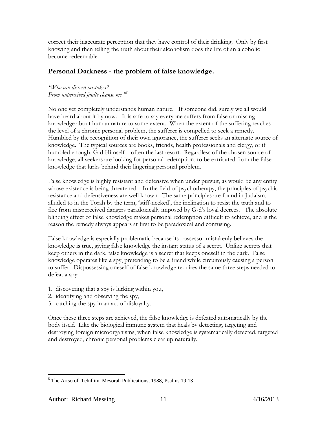correct their inaccurate perception that they have control of their drinking. Only by first knowing and then telling the truth about their alcoholism does the life of an alcoholic become redeemable.

## **Personal Darkness - the problem of false knowledge.**

*"Who can discern mistakes? From unperceived faults cleanse me."<sup>5</sup>*

No one yet completely understands human nature. If someone did, surely we all would have heard about it by now. It is safe to say everyone suffers from false or missing knowledge about human nature to some extent. When the extent of the suffering reaches the level of a chronic personal problem, the sufferer is compelled to seek a remedy. Humbled by the recognition of their own ignorance, the sufferer seeks an alternate source of knowledge. The typical sources are books, friends, health professionals and clergy, or if humbled enough, G-d Himself – often the last resort. Regardless of the chosen source of knowledge, all seekers are looking for personal redemption, to be extricated from the false knowledge that lurks behind their lingering personal problem.

False knowledge is highly resistant and defensive when under pursuit, as would be any entity whose existence is being threatened. In the field of psychotherapy, the principles of psychic resistance and defensiveness are well known. The same principles are found in Judaism, alluded to in the Torah by the term, 'stiff-necked', the inclination to resist the truth and to flee from misperceived dangers paradoxically imposed by G-d's loyal decrees. The absolute blinding effect of false knowledge makes personal redemption difficult to achieve, and is the reason the remedy always appears at first to be paradoxical and confusing.

False knowledge is especially problematic because its possessor mistakenly believes the knowledge is true, giving false knowledge the instant status of a secret. Unlike secrets that keep others in the dark, false knowledge is a secret that keeps oneself in the dark. False knowledge operates like a spy, pretending to be a friend while circuitously causing a person to suffer. Dispossessing oneself of false knowledge requires the same three steps needed to defeat a spy:

- 1. discovering that a spy is lurking within you,
- 2. identifying and observing the spy,
- 3. catching the spy in an act of disloyalty.

Once these three steps are achieved, the false knowledge is defeated automatically by the body itself. Like the biological immune system that heals by detecting, targeting and destroying foreign microorganisms, when false knowledge is systematically detected, targeted and destroyed, chronic personal problems clear up naturally.

 $\overline{a}$ 

<sup>5</sup> The Artscroll Tehillim, Mesorah Publications, 1988, Psalms 19:13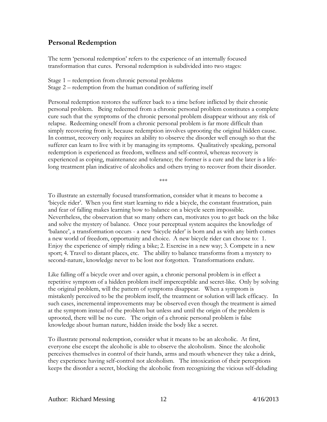#### **Personal Redemption**

The term 'personal redemption' refers to the experience of an internally focused transformation that cures. Personal redemption is subdivided into two stages:

Stage 1 – redemption from chronic personal problems Stage 2 – redemption from the human condition of suffering itself

Personal redemption restores the sufferer back to a time before inflicted by their chronic personal problem. Being redeemed from a chronic personal problem constitutes a complete cure such that the symptoms of the chronic personal problem disappear without any risk of relapse. Redeeming oneself from a chronic personal problem is far more difficult than simply recovering from it, because redemption involves uprooting the original hidden cause. In contrast, recovery only requires an ability to observe the disorder well enough so that the sufferer can learn to live with it by managing its symptoms. Qualitatively speaking, personal redemption is experienced as freedom, wellness and self-control, whereas recovery is experienced as coping, maintenance and tolerance; the former is a cure and the later is a lifelong treatment plan indicative of alcoholics and others trying to recover from their disorder.

\*\*\*

To illustrate an externally focused transformation, consider what it means to become a 'bicycle rider'. When you first start learning to ride a bicycle, the constant frustration, pain and fear of falling makes learning how to balance on a bicycle seem impossible. Nevertheless, the observation that so many others can, motivates you to get back on the bike and solve the mystery of balance. Once your perceptual system acquires the knowledge of 'balance', a transformation occurs - a new 'bicycle rider' is born and as with any birth comes a new world of freedom, opportunity and choice. A new bicycle rider can choose to: 1. Enjoy the experience of simply riding a bike; 2. Exercise in a new way; 3. Compete in a new sport; 4. Travel to distant places, etc. The ability to balance transforms from a mystery to second-nature, knowledge never to be lost nor forgotten. Transformations endure.

Like falling off a bicycle over and over again, a chronic personal problem is in effect a repetitive symptom of a hidden problem itself imperceptible and secret-like. Only by solving the original problem, will the pattern of symptoms disappear. When a symptom is mistakenly perceived to be the problem itself, the treatment or solution will lack efficacy. In such cases, incremental improvements may be observed even though the treatment is aimed at the symptom instead of the problem but unless and until the origin of the problem is uprooted, there will be no cure. The origin of a chronic personal problem is false knowledge about human nature, hidden inside the body like a secret.

To illustrate personal redemption, consider what it means to be an alcoholic. At first, everyone else except the alcoholic is able to observe the alcoholism. Since the alcoholic perceives themselves in control of their hands, arms and mouth whenever they take a drink, they experience having self-control not alcoholism. The intoxication of their perceptions keeps the disorder a secret, blocking the alcoholic from recognizing the vicious self-deluding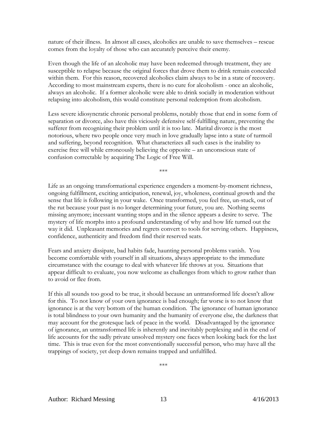nature of their illness. In almost all cases, alcoholics are unable to save themselves – rescue comes from the loyalty of those who can accurately perceive their enemy.

Even though the life of an alcoholic may have been redeemed through treatment, they are susceptible to relapse because the original forces that drove them to drink remain concealed within them. For this reason, recovered alcoholics claim always to be in a state of recovery. According to most mainstream experts, there is no cure for alcoholism - once an alcoholic, always an alcoholic. If a former alcoholic were able to drink socially in moderation without relapsing into alcoholism, this would constitute personal redemption from alcoholism.

Less severe idiosyncratic chronic personal problems, notably those that end in some form of separation or divorce, also have this viciously defensive self-fulfilling nature, preventing the sufferer from recognizing their problem until it is too late. Marital divorce is the most notorious, where two people once very much in love gradually lapse into a state of turmoil and suffering, beyond recognition. What characterizes all such cases is the inability to exercise free will while erroneously believing the opposite – an unconscious state of confusion correctable by acquiring The Logic of Free Will.

\*\*\*

Life as an ongoing transformational experience engenders a moment-by-moment richness, ongoing fulfillment, exciting anticipation, renewal, joy, wholeness, continual growth and the sense that life is following in your wake. Once transformed, you feel free, un-stuck, out of the rut because your past is no longer determining your future, you are. Nothing seems missing anymore; incessant wanting stops and in the silence appears a desire to serve. The mystery of life morphs into a profound understanding of why and how life turned out the way it did. Unpleasant memories and regrets convert to tools for serving others. Happiness, confidence, authenticity and freedom find their reserved seats.

Fears and anxiety dissipate, bad habits fade, haunting personal problems vanish. You become comfortable with yourself in all situations, always appropriate to the immediate circumstance with the courage to deal with whatever life throws at you. Situations that appear difficult to evaluate, you now welcome as challenges from which to grow rather than to avoid or flee from.

If this all sounds too good to be true, it should because an untransformed life doesn't allow for this. To not know of your own ignorance is bad enough; far worse is to not know that ignorance is at the very bottom of the human condition. The ignorance of human ignorance is total blindness to your own humanity and the humanity of everyone else, the darkness that may account for the grotesque lack of peace in the world. Disadvantaged by the ignorance of ignorance, an untransformed life is inherently and inevitably perplexing and in the end of life accounts for the sadly private unsolved mystery one faces when looking back for the last time. This is true even for the most conventionally successful person, who may have all the trappings of society, yet deep down remains trapped and unfulfilled.

\*\*\*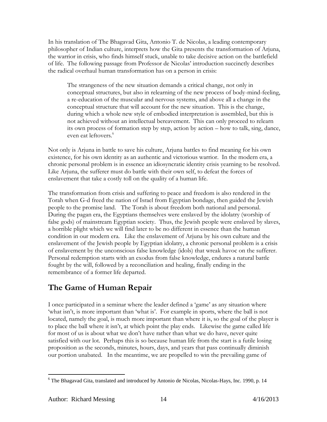In his translation of The Bhagavad Gita, Antonio T. de Nicolas, a leading contemporary philosopher of Indian culture, interprets how the Gita presents the transformation of Arjuna, the warrior in crisis, who finds himself stuck, unable to take decisive action on the battlefield of life. The following passage from Professor de Nicolas' introduction succinctly describes the radical overhaul human transformation has on a person in crisis:

The strangeness of the new situation demands a critical change, not only in conceptual structures, but also in relearning of the new process of body-mind-feeling, a re-education of the muscular and nervous systems, and above all a change in the conceptual structure that will account for the new situation. This is the change, during which a whole new style of embodied interpretation is assembled, but this is not achieved without an intellectual bereavement. This can only proceed to relearn its own process of formation step by step, action by action – how to talk, sing, dance, even eat leftovers.<sup>6</sup>

Not only is Arjuna in battle to save his culture, Arjuna battles to find meaning for his own existence, for his own identity as an authentic and victorious warrior. In the modern era, a chronic personal problem is in essence an idiosyncratic identity crisis yearning to be resolved. Like Arjuna, the sufferer must do battle with their own self, to defeat the forces of enslavement that take a costly toll on the quality of a human life.

The transformation from crisis and suffering to peace and freedom is also rendered in the Torah when G-d freed the nation of Israel from Egyptian bondage, then guided the Jewish people to the promise land. The Torah is about freedom both national and personal. During the pagan era, the Egyptians themselves were enslaved by the idolatry (worship of false gods) of mainstream Egyptian society. Thus, the Jewish people were enslaved by slaves, a horrible plight which we will find later to be no different in essence than the human condition in our modern era. Like the enslavement of Arjuna by his own culture and the enslavement of the Jewish people by Egyptian idolatry, a chronic personal problem is a crisis of enslavement by the unconscious false knowledge (idols) that wreak havoc on the sufferer. Personal redemption starts with an exodus from false knowledge, endures a natural battle fought by the will, followed by a reconciliation and healing, finally ending in the remembrance of a former life departed.

# **The Game of Human Repair**

I once participated in a seminar where the leader defined a 'game' as any situation where 'what isn't, is more important than 'what is'. For example in sports, where the ball is not located, namely the goal, is much more important than where it is, so the goal of the player is to place the ball where it isn't, at which point the play ends. Likewise the game called life for most of us is about what we don't have rather than what we do have, never quite satisfied with our lot. Perhaps this is so because human life from the start is a futile losing proposition as the seconds, minutes, hours, days, and years that pass continually diminish our portion unabated. In the meantime, we are propelled to win the prevailing game of

 $\overline{a}$ <sup>6</sup> The Bhagavad Gita, translated and introduced by Antonio de Nicolas, Nicolas-Hays, Inc. 1990, p. 14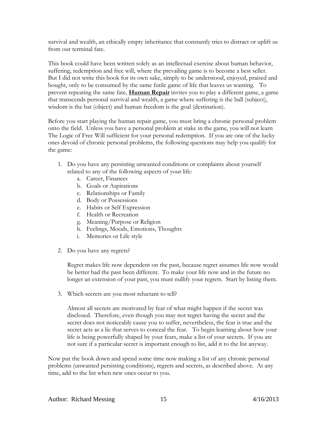survival and wealth, an ethically empty inheritance that constantly tries to distract or uplift us from our terminal fate.

This book could have been written solely as an intellectual exercise about human behavior, suffering, redemption and free will, where the prevailing game is to become a best seller. But I did not write this book for its own sake, simply to be understood, enjoyed, praised and bought, only to be consumed by the same futile game of life that leaves us wanting. To prevent repeating the same fate, **Human Repair** invites you to play a different game, a game that transcends personal survival and wealth, a game where suffering is the ball (subject), wisdom is the bat (object) and human freedom is the goal (destination).

Before you start playing the human repair game, you must bring a chronic personal problem onto the field. Unless you have a personal problem at stake in the game, you will not learn The Logic of Free Will sufficient for your personal redemption. If you are one of the lucky ones devoid of chronic personal problems, the following questions may help you qualify for the game:

- 1. Do you have any persisting unwanted conditions or complaints about yourself related to any of the following aspects of your life:
	- a. Career, Finances
	- b. Goals or Aspirations
	- c. Relationships or Family
	- d. Body or Possessions
	- e. Habits or Self Expression
	- f. Health or Recreation
	- g. Meaning/Purpose or Religion
	- h. Feelings, Moods, Emotions, Thoughts
	- i. Memories or Life style
- 2. Do you have any regrets?

Regret makes life now dependent on the past, because regret assumes life now would be better had the past been different. To make your life now and in the future no longer an extension of your past, you must nullify your regrets. Start by listing them.

3. Which secrets are you most reluctant to tell?

Almost all secrets are motivated by fear of what might happen if the secret was disclosed. Therefore, even though you may not regret having the secret and the secret does not noticeably cause you to suffer, nevertheless, the fear is true and the secret acts as a lie that serves to conceal the fear. To begin learning about how your life is being powerfully shaped by your fears, make a list of your secrets. If you are not sure if a particular secret is important enough to list, add it to the list anyway.

Now put the book down and spend some time now making a list of any chronic personal problems (unwanted persisting conditions), regrets and secrets, as described above. At any time, add to the list when new ones occur to you.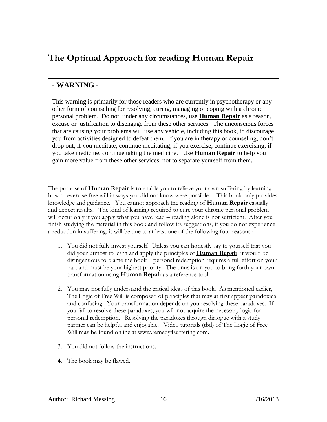# <span id="page-15-0"></span>**[The Optimal Approach for reading Human Repair](#page-15-0)**

## **- WARNING -**

This warning is primarily for those readers who are currently in psychotherapy or any other form of counseling for resolving, curing, managing or coping with a chronic personal problem. Do not, under any circumstances, use **Human Repair** as a reason, excuse or justification to disengage from these other services. The unconscious forces that are causing your problems will use any vehicle, including this book, to discourage you from activities designed to defeat them. If you are in therapy or counseling, don't drop out; if you meditate, continue meditating; if you exercise, continue exercising; if you take medicine, continue taking the medicine. Use **Human Repair** to help you gain more value from these other services, not to separate yourself from them.

The purpose of **Human Repair** is to enable you to relieve your own suffering by learning how to exercise free will in ways you did not know were possible. This book only provides knowledge and guidance. You cannot approach the reading of **Human Repair** casually and expect results. The kind of learning required to cure your chronic personal problem will occur only if you apply what you have read – reading alone is not sufficient. After you finish studying the material in this book and follow its suggestions, if you do not experience a reduction in suffering, it will be due to at least one of the following four reasons :

- 1. You did not fully invest yourself. Unless you can honestly say to yourself that you did your utmost to learn and apply the principles of **Human Repair**, it would be disingenuous to blame the book – personal redemption requires a full effort on your part and must be your highest priority. The onus is on you to bring forth your own transformation using **Human Repair** as a reference tool.
- 2. You may not fully understand the critical ideas of this book. As mentioned earlier, The Logic of Free Will is composed of principles that may at first appear paradoxical and confusing. Your transformation depends on you resolving these paradoxes. If you fail to resolve these paradoxes, you will not acquire the necessary logic for personal redemption. Resolving the paradoxes through dialogue with a study partner can be helpful and enjoyable. Video tutorials (tbd) of The Logic of Free Will may be found online at www.remedy4suffering.com.
- 3. You did not follow the instructions.
- 4. The book may be flawed.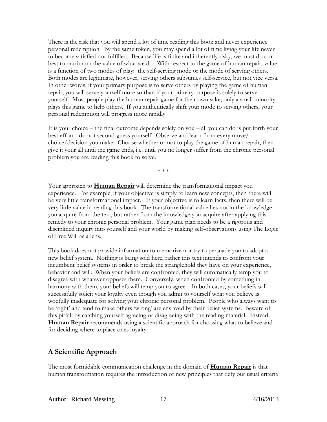There is the risk that you will spend a lot of time reading this book and never experience personal redemption. By the same token, you may spend a lot of time living your life never to become satisfied nor fulfilled. Because life is finite and inherently risky, we must do our best to maximum the value of what we do. With respect to the game of human repair, value is a function of two modes of play: the self-serving mode or the mode of serving others. Both modes are legitimate, however, serving others subsumes self-service, but not vice versa. In other words, if your primary purpose is to serve others by playing the game of human repair, you will serve yourself more so than if your primary purpose is solely to serve yourself. Most people play the human repair game for their own sake; only a small minority plays this game to help others. If you authentically shift your mode to serving others, your personal redemption will progress more rapidly.

It is your choice – the final outcome depends solely on you – all you can do is put forth your best effort - do not second-guess yourself. Observe and learn from every move/ choice/decision you make. Choose whether or not to play the game of human repair, then give it your all until the game ends, i.e. until you no longer suffer from the chronic personal problem you are reading this book to solve.

\* \* \*

Your approach to **Human Repair** will determine the transformational impact you experience. For example, if your objective is simply to learn new concepts, then there will be very little transformational impact. If your objective is to learn facts, then there will be very little value in reading this book. The transformational value lies not in the knowledge you acquire from the text, but rather from the knowledge you acquire after applying this remedy to your chronic personal problem. Your game plan needs to be a rigorous and disciplined inquiry into yourself and your world by making self-observations using The Logic of Free Will as a lens.

This book does not provide information to memorize nor try to persuade you to adopt a new belief system. Nothing is being sold here, rather this text intends to confront your incumbent belief systems in order to break the stranglehold they have on your experience, behavior and will. When your beliefs are confronted, they will automatically temp you to disagree with whatever opposes them. Conversely, when confronted by something in harmony with them, your beliefs will temp you to agree. In both cases, your beliefs will successfully solicit your loyalty even though you admit to yourself what you believe is woefully inadequate for solving your chronic personal problem. People who always want to be 'right' and tend to make others 'wrong' are enslaved by their belief systems. Beware of this pitfall by catching yourself agreeing or disagreeing with the reading material. Instead, **Human Repair** recommends using a scientific approach for choosing what to believe and for deciding where to place ones loyalty.

## **A Scientific Approach**

The most formidable communication challenge in the domain of **Human Repair** is that human transformation requires the introduction of new principles that defy our usual criteria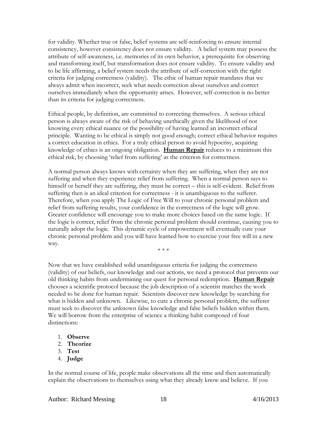for validity. Whether true or false, belief systems are self-reinforcing to ensure internal consistency, however consistency does not ensure validity. A belief system may possess the attribute of self-awareness, i.e. memories of its own behavior, a prerequisite for observing and transforming itself, but transformation does not ensure validity. To ensure validity and to be life affirming, a belief system needs the attribute of self-correction with the right criteria for judging correctness (validity). The ethic of human repair mandates that we always admit when incorrect, seek what needs correction about ourselves and correct ourselves immediately when the opportunity arises. However, self-correction is no better than its criteria for judging correctness.

Ethical people, by definition, are committed to correcting themselves. A serious ethical person is always aware of the risk of behaving unethically given the likelihood of not knowing every ethical nuance or the possibility of having learned an incorrect ethical principle. Wanting to be ethical is simply not good enough; correct ethical behavior requires a correct education in ethics. For a truly ethical person to avoid hypocrisy, acquiring knowledge of ethics is an ongoing obligation. **Human Repair** reduces to a minimum this ethical risk, by choosing 'relief from suffering' as the criterion for correctness.

A normal person always knows with certainty when they are suffering, when they are not suffering and when they experience relief from suffering. When a normal person says to himself or herself they are suffering, they must be correct – this is self-evident. Relief from suffering then is an ideal criterion for correctness - it is unambiguous to the sufferer. Therefore, when you apply The Logic of Free Will to your chronic personal problem and relief from suffering results, your confidence in the correctness of the logic will grow. Greater confidence will encourage you to make more choices based on the same logic. If the logic is correct, relief from the chronic personal problem should continue, causing you to naturally adopt the logic. This dynamic cycle of empowerment will eventually cure your chronic personal problem and you will have learned how to exercise your free will in a new way.

\* \* \*

Now that we have established solid unambiguous criteria for judging the correctness (validity) of our beliefs, our knowledge and our actions, we need a protocol that prevents our old thinking habits from undermining our quest for personal redemption. **Human Repair** chooses a scientific protocol because the job description of a scientist matches the work needed to be done for human repair. Scientists discover new knowledge by searching for what is hidden and unknown. Likewise, to cure a chronic personal problem, the sufferer must seek to discover the unknown false knowledge and false beliefs hidden within them. We will borrow from the enterprise of science a thinking habit composed of four distinctions:

- 1. **Observe**
- 2. **Theorize**
- 3. **Test**
- 4. **Judge**

In the normal course of life, people make observations all the time and then automatically explain the observations to themselves using what they already know and believe. If you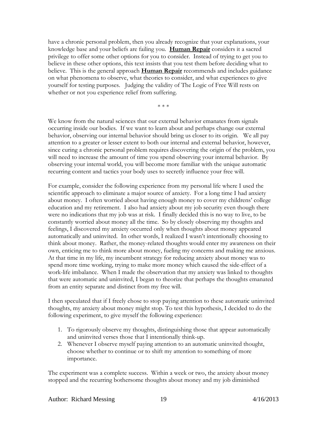have a chronic personal problem, then you already recognize that your explanations, your knowledge base and your beliefs are failing you. **Human Repair** considers it a sacred privilege to offer some other options for you to consider.Instead of trying to get you to believe in these other options, this text insists that you test them before deciding what to believe. This is the general approach **Human Repair** recommends and includes guidance on what phenomena to observe, what theories to consider, and what experiences to give yourself for testing purposes. Judging the validity of The Logic of Free Will rests on whether or not you experience relief from suffering.

\* \* \*

We know from the natural sciences that our external behavior emanates from signals occurring inside our bodies. If we want to learn about and perhaps change our external behavior, observing our internal behavior should bring us closer to its origin. We all pay attention to a greater or lesser extent to both our internal and external behavior, however, since curing a chronic personal problem requires discovering the origin of the problem, you will need to increase the amount of time you spend observing your internal behavior. By observing your internal world, you will become more familiar with the unique automatic recurring content and tactics your body uses to secretly influence your free will.

For example, consider the following experience from my personal life where I used the scientific approach to eliminate a major source of anxiety. For a long time I had anxiety about money. I often worried about having enough money to cover my childrens' college education and my retirement. I also had anxiety about my job security even though there were no indications that my job was at risk. I finally decided this is no way to live, to be constantly worried about money all the time. So by closely observing my thoughts and feelings, I discovered my anxiety occurred only when thoughts about money appeared automatically and uninvited. In other words, I realized I wasn't intentionally choosing to think about money. Rather, the money-related thoughts would enter my awareness on their own, enticing me to think more about money, fueling my concerns and making me anxious. At that time in my life, my incumbent strategy for reducing anxiety about money was to spend more time working, trying to make more money which caused the side-effect of a work-life imbalance. When I made the observation that my anxiety was linked to thoughts that were automatic and uninvited, I began to theorize that perhaps the thoughts emanated from an entity separate and distinct from my free will.

I then speculated that if I freely chose to stop paying attention to these automatic uninvited thoughts, my anxiety about money might stop. To test this hypothesis, I decided to do the following experiment, to give myself the following experience:

- 1. To rigorously observe my thoughts, distinguishing those that appear automatically and uninvited verses those that I intentionally think-up.
- 2. Whenever I observe myself paying attention to an automatic uninvited thought, choose whether to continue or to shift my attention to something of more importance.

The experiment was a complete success. Within a week or two, the anxiety about money stopped and the recurring bothersome thoughts about money and my job diminished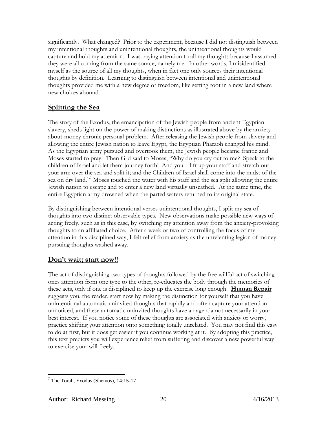significantly. What changed? Prior to the experiment, because I did not distinguish between my intentional thoughts and unintentional thoughts, the unintentional thoughts would capture and hold my attention. I was paying attention to all my thoughts because I assumed they were all coming from the same source, namely me. In other words, I misidentified myself as the source of all my thoughts, when in fact one only sources their intentional thoughts by definition. Learning to distinguish between intentional and unintentional thoughts provided me with a new degree of freedom, like setting foot in a new land where new choices abound.

## **Splitting the Sea**

The story of the Exodus, the emancipation of the Jewish people from ancient Egyptian slavery, sheds light on the power of making distinctions as illustrated above by the anxietyabout-money chronic personal problem. After releasing the Jewish people from slavery and allowing the entire Jewish nation to leave Egypt, the Egyptian Pharaoh changed his mind. As the Egyptian army pursued and overtook them, the Jewish people became frantic and Moses started to pray. Then G-d said to Moses, "Why do you cry out to me? Speak to the children of Israel and let them journey forth! And you – lift up your staff and stretch out your arm over the sea and split it; and the Children of Israel shall come into the midst of the sea on dry land."<sup>7</sup> Moses touched the water with his staff and the sea split allowing the entire Jewish nation to escape and to enter a new land virtually unscathed. At the same time, the entire Egyptian army drowned when the parted waters returned to its original state.

By distinguishing between intentional verses unintentional thoughts, I split my sea of thoughts into two distinct observable types. New observations make possible new ways of acting freely, such as in this case, by switching my attention away from the anxiety-provoking thoughts to an affiliated choice. After a week or two of controlling the focus of my attention in this disciplined way, I felt relief from anxiety as the unrelenting legion of moneypursuing thoughts washed away.

## **Don't wait; start now!!**

The act of distinguishing two types of thoughts followed by the free willful act of switching ones attention from one type to the other, re-educates the body through the memories of these acts, only if one is disciplined to keep up the exercise long enough. **Human Repair** suggests you, the reader, start now by making the distinction for yourself that you have unintentional automatic uninvited thoughts that rapidly and often capture your attention unnoticed, and these automatic uninvited thoughts have an agenda not necessarily in your best interest. If you notice some of these thoughts are associated with anxiety or worry, practice shifting your attention onto something totally unrelated. You may not find this easy to do at first, but it does get easier if you continue working at it. By adopting this practice, this text predicts you will experience relief from suffering and discover a new powerful way to exercise your will freely.

 $\overline{a}$ 

 $<sup>7</sup>$  The Torah, Exodus (Shemos), 14:15-17</sup>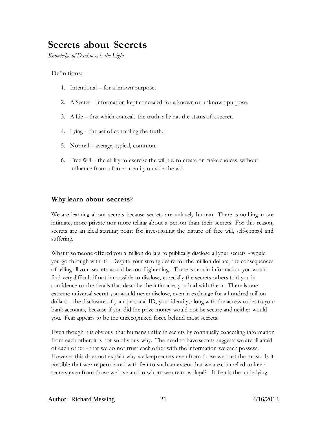# **Secrets about Secrets**

*Knowledge of Darkness is the Light*

#### Definitions:

- 1. Intentional for a known purpose.
- 2. A Secret information kept concealed for a known or unknown purpose.
- 3. A Lie that which conceals the truth; a lie has the status of a secret.
- 4. Lying the act of concealing the truth.
- 5. Normal average, typical, common.
- 6. Free Will the ability to exercise the will, i.e. to create or make choices, without influence from a force or entity outside the will.

#### **Why learn about secrets?**

We are learning about secrets because secrets are uniquely human. There is nothing more intimate, more private nor more telling about a person than their secrets. For this reason, secrets are an ideal starting point for investigating the nature of free will, self-control and suffering.

What if someone offered you a million dollars to publically disclose all your secrets - would you go through with it? Despite your strong desire for the million dollars, the consequences of telling all your secrets would be too frightening. There is certain information you would find very difficult if not impossible to disclose, especially the secrets others told you in confidence or the details that describe the intimacies you had with them. There is one extreme universal secret you would never disclose, even in exchange for a hundred million dollars – the disclosure of your personal ID, your identity, along with the access codesto your bank accounts, because if you did the prize money would not be secure and neither would you. Fear appears to be the unrecognized force behind most secrets.

Even though it is obvious that humanstraffic in secrets by continually concealing information from each other, it is not so obvious why. The need to have secrets suggests we are all afraid of each other - that we do not trust each other with the information we each possess. However this does not explain why we keep secrets even from those we trust the most. Is it possible that we are permeated with fear to such an extent that we are compelled to keep secrets even from those we love and to whom we are most loyal? If fear is the underlying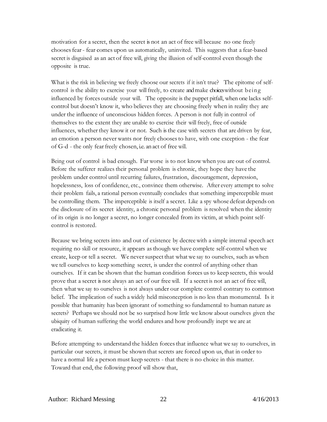motivation for a secret, then the secret is not an act of free will because no one freely choosesfear- fear comes upon us automatically, uninvited. This suggests that a fear-based secret is disguised as an act of free will, giving the illusion of self-control even though the opposite is true.

What is the risk in believing we freely choose our secrets if it isn't true? The epitome of selfcontrol is the ability to exercise your will freely, to create andmake choices without being influenced by forces outside your will. The opposite is the puppet pitfall, when one lacks selfcontrol but doesn't know it, who believes they are choosing freely when in reality they are under the influence of unconscious hidden forces. A person is not fully in control of themselves to the extent they are unable to exercise their will freely, free of outside influences, whether they know it or not. Such isthe case with secrets that are driven by fear, an emotion a person never wants nor freely choosesto have, with one exception - the fear of G-d - the only fear freely chosen, i.e. an act of free will.

Being out of control is bad enough. Far worse is to not knowwhen you are out of control. Before the sufferer realizes their personal problem is chronic, they hope they have the problem under control until recurring failures, frustration, discouragement, depression, hopelessness, loss of confidence, etc., convince them otherwise. After every attempt to solve their problem fails, a rational person eventually concludes that something imperceptible must be controlling them. The imperceptible is itself a secret. Like a spy whose defeat depends on the disclosure of its secret identity, a chronic personal problem is resolved when the identity of its origin is no longer a secret, no longer concealed from its victim, at which point selfcontrol is restored.

Because we bring secrets into and out of existence by decreewith a simple internal speech act requiring no skill or resource, it appears as though we have complete self-control when we create, keep or tell a secret. We never suspect that what we say to ourselves, such as when we tell ourselves to keep something secret, is under the control of anything other than ourselves. If it can be shown that the human condition forces us to keep secrets, this would prove that a secret is not always an act of our free will. If a secret is not an act of free will, then what we say to ourselves is not always under our complete control contrary to common belief. The implication of such a widely held misconception is no less than monumental. Is it possible that humanity has been ignorant of something so fundamental to human nature as secrets? Perhaps we should not be so surprised how little we know about ourselves given the ubiquity of human suffering the world endures and how profoundly inept we are at eradicating it.

Before attempting to understand the hidden forces that influence what we say to ourselves, in particular our secrets, it must be shown that secrets are forced upon us, that in order to have a normal life a person must keep secrets - that there is no choice in this matter. Toward that end, the following proof will show that,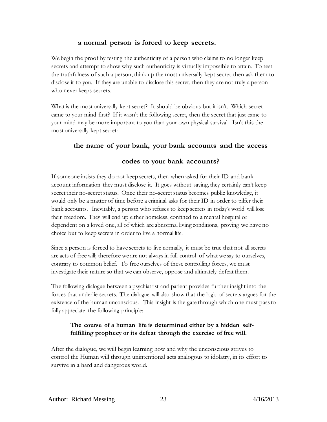#### **a normal person is forced to keep secrets.**

We begin the proof by testing the authenticity of a person who claims to no longer keep secrets and attempt to show why such authenticity is virtually impossible to attain. To test the truthfulness of such a person, think up the most universally kept secret then ask them to disclose it to you. If they are unable to disclose this secret, then they are not truly a person who never keeps secrets.

What is the most universally kept secret? It should be obvious but it isn't. Which secret came to your mind first? If it wasn't the following secret, then the secret that just came to your mind may be more important to you than your own physical survival. Isn't this the most universally kept secret:

#### **the name of your bank, your bank accounts and the access**

#### **codes to your bank accounts?**

If someone insists they do not keep secrets, then when asked for their ID and bank account information they must disclose it. It goes without saying, they certainly can't keep secret their no-secret status. Once their no-secret status becomes public knowledge, it would only be a matter of time before a criminal asks for their ID in order to pilfer their bank accounts. Inevitably, a person who refuses to keep secrets in today's world will lose their freedom. They will end up either homeless, confined to a mental hospital or dependent on a loved one, all of which are abnormal living conditions, proving we have no choice but to keep secrets in order to live a normal life.

Since a person is forced to have secrets to live normally, it must be true that not all secrets are acts of free will; therefore we are not always in full control of what we say to ourselves, contrary to common belief. To free ourselves of these controlling forces, we must investigate their nature so that we can observe, oppose and ultimately defeat them.

The following dialogue between a psychiatrist and patient provides further insight into the forces that underlie secrets. The dialogue will also show that the logic of secrets argues for the existence of the human unconscious. This insight is the gate through which one must passto fully appreciate the following principle:

#### **The course of a human life is determined either by a hidden selffulfilling prophecy or its defeat through the exercise of free will.**

After the dialogue, we will begin learning how and why the unconscious strives to control the Human will through unintentional acts analogous to idolatry, in its effort to survive in a hard and dangerous world.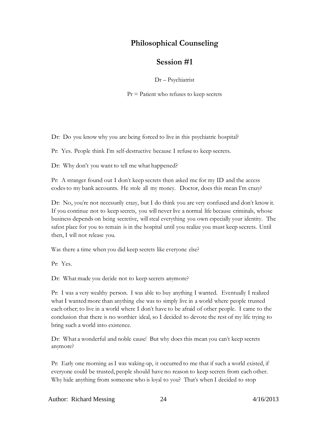## **Philosophical Counseling**

## **Session #1**

Dr – Psychiatrist

 $Pr =$  Patient who refuses to keep secrets

Dr: Do you know why you are being forced to live in this psychiatric hospital?

Pr: Yes. People think I'm self-destructive because I refuse to keep secrets.

Dr: Why don't you want to tell me what happened?

Pr: A stranger found out I don't keep secrets then asked me for my ID and the access codesto my bank accounts. He stole all my money. Doctor, does this mean I'm crazy?

Dr: No, you're not necessarily crazy, but I do think you are very confused and don't know it. If you continue not to keep secrets, you will never live a normal life because criminals, whose business depends on being secretive, will steal everything you own especially your identity. The safest place for you to remain is in the hospital until you realize you must keep secrets. Until then, I will not release you.

Was there a time when you did keep secrets like everyone else?

Pr: Yes.

Dr: What made you decide not to keep secrets anymore?

Pr: I was a very wealthy person. I was able to buy anything I wanted. Eventually I realized what I wanted more than anything else was to simply live in a world where people trusted each other; to live in a world where I don't have to be afraid of other people. I came to the conclusion that there is no worthier ideal, so I decided to devote the rest of my life trying to bring such a world into existence.

Dr: What a wonderful and noble cause! But why does this mean you can't keep secrets anymore?

Pr: Early one morning asI was waking-up, it occurred to me that if such a world existed, if everyone could be trusted, people should have no reason to keep secrets from each other. Why hide anything from someone who is loyal to you? That's when I decided to stop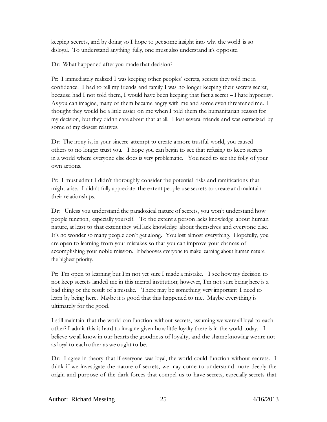keeping secrets, and by doing so I hope to getsome insight into why the world is so disloyal. To understand anything fully, one must also understand it's opposite.

Dr: What happened after you made that decision?

Pr: I immediately realized I was keeping other peoples' secrets, secrets they told me in confidence. I had to tell my friends and family I was no longer keeping their secrets secret, because had I not told them, I would have been keeping that fact a secret – I hate hypocrisy. As you can imagine, many of them became angry with me and some even threatened me. I thought they would be a little easier on me when I told them the humanitarian reason for my decision, but they didn't care about that at all. I lost several friends and was ostracized by some of my closest relatives.

Dr: The irony is, in your sincere attempt to create a more trustful world, you caused others to no longer trust you. I hope you can begin to see that refusing to keep secrets in a world where everyone else does is very problematic. You need to see the folly of your own actions.

Pr: I must admit I didn't thoroughly consider the potential risks and ramifications that might arise. I didn't fully appreciate the extent people use secrets to create and maintain their relationships.

Dr: Unless you understand the paradoxical nature of secrets, you won't understand how people function, especially yourself. To the extent a person lacks knowledge about human nature, at least to that extent they will lack knowledge about themselves and everyone else. It's no wonder so many people don't get along. You lost almost everything. Hopefully, you are open to learning from your mistakes so that you can improve your chances of accomplishing your noble mission. It behooves everyone to make learning about human nature the highest priority.

Pr: I'm open to learning but I'm not yet sure I made a mistake. I see how my decision to not keep secrets landed me in this mental institution; however, I'm not sure being here is a bad thing or the result of a mistake. There may be something very important I need to learn by being here. Maybe it is good that this happened to me. Maybe everything is ultimately for the good.

I still maintain that the world can function without secrets, assuming we were all loyal to each other? I admit this is hard to imagine given how little loyalty there is in the world today. I believe we all know in our hearts the goodness of loyalty, and the shame knowing we are not as loyal to each other as we ought to be.

Dr: I agree in theory that if everyone was loyal, the world could function without secrets. I think if we investigate the nature of secrets, we may come to understand more deeply the origin and purpose of the dark forces that compel us to have secrets, especially secrets that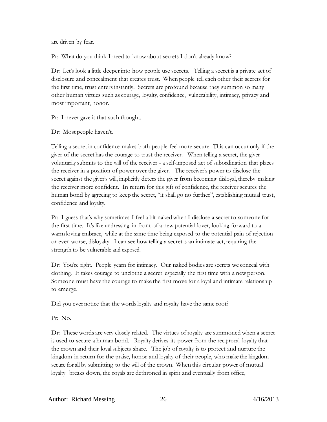are driven by fear.

Pr: What do you think I need to know about secrets I don't already know?

Dr: Let's look a little deeper into how people use secrets. Telling a secret is a private act of disclosure and concealment that creates trust. When people tell each other their secrets for the first time, trust enters instantly. Secrets are profound because they summon so many other human virtues such as courage, loyalty, confidence, vulnerability, intimacy, privacy and most important, honor.

Pr: I never gave it that such thought.

Dr: Most people haven't.

Telling a secret in confidence makes both people feel more secure. This can occur only if the giver of the secret has the courage to trust the receiver. When telling a secret, the giver voluntarily submits to the will of the receiver - a self-imposed act of subordination that places the receiver in a position of power over the giver. The receiver's power to disclose the secret against the giver's will, implicitly deters the giver from becoming disloyal, thereby making the receiver more confident. In return for this gift of confidence, the receiver secures the human bond by agreeing to keep the secret, "it shall go no further", establishing mutual trust, confidence and loyalty.

Pr: I guess that's why sometimes I feel a bit nakedwhen I disclose a secret to someone for the first time. It's like undressing in front of a new potential lover, looking forward to a warm loving embrace, while at the same time being exposed to the potential pain of rejection or even worse, disloyalty. I can see how telling a secret is an intimate act, requiring the strength to be vulnerable and exposed.

Dr: You're right. People yearn for intimacy. Our naked bodies are secrets we conceal with clothing. It takes courage to unclothe a secret especially the first time with a newperson. Someone must have the courage to make the first move for a loyal and intimate relationship to emerge.

Did you ever notice that the wordsloyalty and royalty have the same root?

Pr: No.

Dr: These words are very closely related. The virtues of royalty are summoned when a secret is used to secure a human bond. Royalty derives its power from the reciprocal loyalty that the crown and their loyalsubjects share. The job of royalty is to protect and nurture the kingdom in return for the praise, honor and loyalty of their people, who make the kingdom secure for all by submitting to the will of the crown. When this circular power of mutual loyalty breaks down, the royals are dethroned in spirit and eventually from office,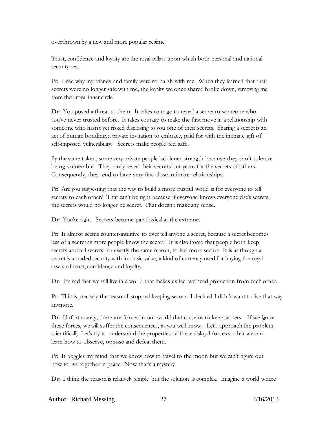overthrown by a new and more popular regime.

Trust, confidence and loyalty are the royal pillars upon which both personal and national security rest.

Pr: I see why my friends and family were so harsh with me. When they learned that their secrets were no longer safe with me, the loyalty we once shared broke down, removing me from their royal inner circle.

Dr: You posed a threat to them. It takes courage to reveal a secret to someone who you've never trusted before. It takes courage to make the first move in a relationship with someone who hasn't yet risked disclosing to you one of their secrets. Sharing a secret is an act of human bonding, a private invitation to embrace, paid for with the intimate gift of self-imposed vulnerability. Secrets make people feel safe.

By the same token, some very private people lack inner strength because they can't tolerate being vulnerable. They rarely reveal their secrets but yearn for the secrets of others. Consequently, they tend to have very few close intimate relationships.

Pr: Are you suggesting that the way to build a more trustful world is for everyone to tell secrets to each other? That can't be right because if everyone knows everyone else's secrets, the secrets would no longer be secret. That doesn't make any sense.

Dr: You're right. Secrets become paradoxical at the extreme.

Pr: It almost seems counter-intuitive to evertell anyone a secret, because a secret becomes less of a secret as more people knowthe secret? It is also ironic that people both keep secrets and tell secrets for exactly the same reason, to feel more secure. It is as though a secret is a traded security with intrinsic value, a kind of currency used for buying the royal assets of trust, confidence and loyalty.

Dr: It's sad that we still live in a world that makes us feel we need protection from each other.

Pr: This is precisely the reason I stopped keeping secrets; I decided I didn't want to live that way anymore.

Dr: Unfortunately, there are forces in our world that cause us to keep secrets. If we ignore these forces, we will suffer the consequences, as you well know. Let's approach the problem scientifically. Let's try to understand the properties of these disloyal forces so that we can learn how to observe, oppose and defeat them.

Pr: It boggles my mind that we knowhow to travel to the moon but we can't figure out how to live together in peace. Now that's a mystery.

Dr: I think the reason is relatively simple but the solution is complex. Imagine a world where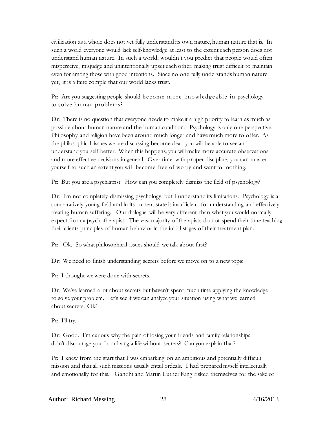civilization as a whole does not yet fully understand its own nature, human nature that is. In such a world everyone would lack self-knowledge at least to the extent each person does not understand human nature. In such a world, wouldn't you predict that people would often misperceive, misjudge and unintentionally upset each other, making trust difficult to maintain even for among those with good intentions. Since no one fully understands human nature yet, it is a faite comple that our world lacks trust.

Pr: Are you suggesting people should become more knowledgeable in psychology to solve human problems?

Dr: There is no question that everyone needs to make it a high priority to learn as much as possible about human nature and the human condition. Psychology is only one perspective. Philosophy and religion have been around much longer and have much more to offer. As the philosophical issues we are discussing become clear, you will be able to see and understand yourself better. When this happens, you will makemore accurate observations and more effective decisions in general. Over time, with proper discipline, you can master yourself to such an extent you will become free of worry and want for nothing.

Pr: But you are a psychiatrist. How can you completely dismiss the field of psychology?

Dr: I'm not completely dismissing psychology, but I understand its limitations. Psychology is a comparatively young field and in its current state is insufficient for understanding and effectively treating human suffering. Our dialogue will be very different than what you would normally expect from a psychotherapist. The vast majority of therapists do not spend their time teaching their clients principles of human behavior in the initial stages of their treatment plan.

Pr: Ok. So what philosophical issues should we talk about first?

Dr: We need to finish understanding secrets before we move on to a newtopic.

Pr: I thought we were done with secrets.

Dr: We've learned a lot about secrets but haven't spent much time applying the knowledge to solve your problem. Let's see if we can analyze your situation using what we learned about secrets. Ok?

Pr: I'll try.

Dr: Good. I'm curious why the pain of losing your friends and family relationships didn't discourage you from living a life without secrets? Can you explain that?

Pr: I knew from the start that I was embarking on an ambitious and potentially difficult mission and that all such missions usually entail ordeals. I had prepared myself intellectually and emotionally for this. Gandhi and Martin Luther King risked themselves for the sake of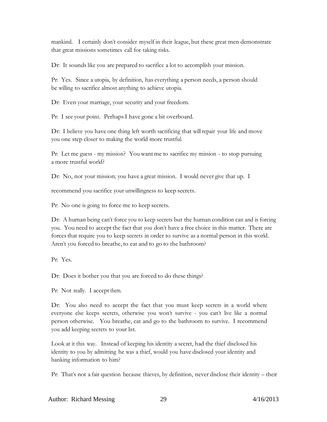mankind. I certainly don't consider myself in their league, but these great men demonstrate that great missions sometimes call for taking risks.

Dr: It sounds like you are prepared to sacrifice a lot to accomplish your mission.

Pr: Yes. Since a utopia, by definition, has everything a person needs, a person should be willing to sacrifice almost anything to achieve utopia.

Dr: Even your marriage, your security and your freedom.

Pr: I see your point. PerhapsI have gone a bit overboard.

Dr: I believe you have one thing left worth sacrificing that will repair your life and move you one step closer to making the world more trustful.

Pr: Let me guess - my mission? You want me to sacrifice my mission - to stop pursuing a more trustful world?

Dr: No, not your mission; you have a great mission. I would never give that up. I

recommend you sacrifice your unwillingness to keep secrets.

Pr: No one is going to force me to keep secrets.

Dr: A human being can't force you to keep secrets but the human condition can and is forcing you. You need to accept the fact that you don't have a free choice in this matter. There are forcesthat require you to keep secrets in order to survive as a normal person in this world. Aren't you forced to breathe, to eat and to go to the bathroom?

Pr: Yes.

Dr: Does it bother you that you are forced to do these things?

Pr: Not really. I accept them.

Dr: You also need to accept the fact that you must keep secrets in a world where everyone else keeps secrets, otherwise you won't survive - you can't live like a normal person otherwise. You breathe, eat and go to the bathroom to survive. I recommend you add keeping secrets to your list.

Look at it this way. Instead of keeping his identity a secret, had the thief disclosed his identity to you by admitting he was a thief, would you have disclosed your identity and banking information to him?

Pr: That's not a fair question because thieves, by definition, never disclose their identity – their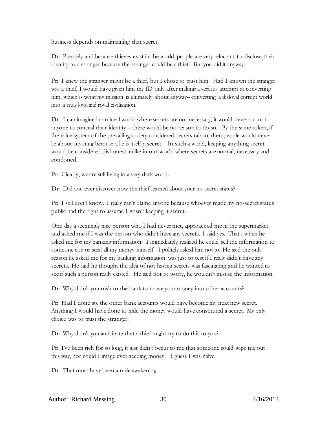business depends on maintaining that secret.

Dr: Precisely and because thieves exist in the world, people are very reluctant to disclose their identity to a stranger because the stranger could be a thief. But you did it anyway.

Pr: I knew the stranger might be a thief, but I chose to trust him. Had I known the stranger was a thief, I would have given him my ID only after making a serious attempt at converting him, which is what my mission is ultimately about anyway– converting a disloyal corrupt world into a truly loyal and royal civilization.

Dr: I can imagine in an ideal world where secrets are not necessary, it would never occur to anyone to conceal their identity – there would be no reason to do so. By the same token, if the value system of the prevailing society considered secrets taboo, then people would never lie about anything because a lie is itself a secret. In such a world, keeping anything secret would be considered dishonest unlike in our world where secrets are normal, necessary and condoned.

Pr: Clearly, we are still living in a very dark world.

Dr: Did you ever discover how the thief learned about your no-secret status?

Pr: I still don't know. I really can't blame anyone because whoever made my no-secret status public had the right to assume I wasn't keeping it secret.

One day a seemingly nice person who I had never met, approached me in the supermarket and asked me if I was the person who didn't have any secrets. I said yes. That's when he asked me for my banking information. I immediately realized he could sell the information to someone else or steal all my money himself. I politely asked him not to. He said the only reason he asked me for my banking information was just to test if I really didn't have any secrets. He said he thought the idea of not having secrets was fascinating and he wanted to see if such a person really existed. He said not to worry, he wouldn't misuse the information.

Dr: Why didn't you rush to the bank to move your money into other accounts?

Pr: Had I done so, the other bank accounts would have become my next new secret. Anything I would have done to hide the money would have constituted a secret. My only choice was to trust the stranger.

Dr: Why didn't you anticipate that a thief might try to do this to you?

Pr: I've been rich for so long, it just didn't occur to me that someone could wipe me out this way, nor could I image ever needing money. I guess I was naïve.

Dr: That must have been a rude awakening.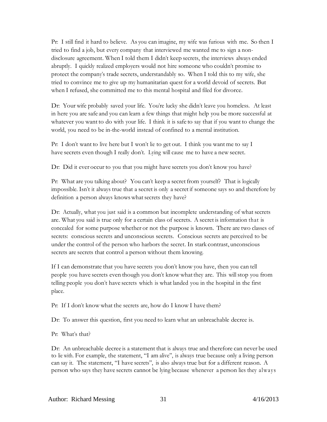Pr: I still find it hard to believe. As you can imagine, my wife was furious with me. So then I tried to find a job, but every company that interviewed me wanted me to sign a nondisclosure agreement. When I told them I didn't keep secrets, the interviews always ended abruptly. I quickly realized employers would not hire someone who couldn't promise to protect the company's trade secrets, understandably so. When I told this to my wife, she tried to convince me to give up my humanitarian quest for a world devoid of secrets. But when I refused, she committed me to this mental hospital and filed for divorce.

Dr: Your wife probably saved your life. You're lucky she didn't leave you homeless. At least in here you are safe and you can learn a few things that might help you be more successful at whatever you want to do with your life. I think it is safe to say that if you want to change the world, you need to be in-the-world instead of confined to a mental institution.

Pr: I don't want to live here but I won't lie to get out. I think you want me to say I have secrets even though I really don't. Lying will cause me to have a new secret.

Dr: Did it ever occur to you that you might have secrets you don't know you have?

Pr: What are you talking about? You can't keep a secret from yourself? That is logically impossible. Isn't it always true that a secret is only a secret if someone says so and therefore by definition a person always knows what secrets they have?

Dr: Actually, what you just said is a common but incomplete understanding of what secrets are. What you said is true only for a certain class of secrets. A secret is information that is concealed for some purpose whether or not the purpose is known. There are two classes of secrets: conscious secrets and unconscious secrets. Conscious secrets are perceived to be under the control of the person who harbors the secret. In stark contrast, unconscious secrets are secrets that control a person without them knowing.

If I can demonstrate that you have secrets you don't know you have, then you can tell people you have secrets even though you don't knowwhat they are. This will stop you from telling people you don't have secrets which is what landed you in the hospital in the first place.

Pr: If I don't know what the secrets are, how do I know I have them?

Dr: To answer this question, first you need to learn what an unbreachable decree is.

Pr: What's that?

Dr: An unbreachable decree is a statement that is always true and therefore can never be used to lie with. For example, the statement, "I am alive", is always true because only a living person can say it. The statement, "I have secrets", is also always true but for a different reason. A person who says they have secrets cannot be lying because whenever a person lies they always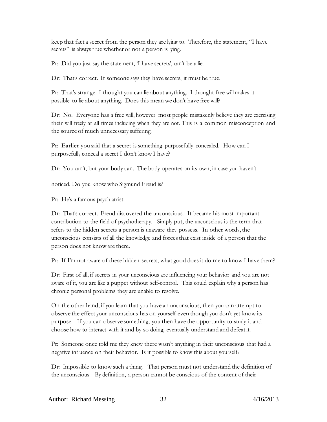keep that fact a secret from the person they are lying to. Therefore, the statement, "I have secrets" is always true whether or not a person is lying.

Pr: Did you just say the statement, 'I have secrets', can't be a lie.

Dr: That's correct. If someone says they have secrets, it must be true.

Pr: That's strange. I thought you can lie about anything. I thought free will makes it possible to lie about anything. Does this mean we don't have free will?

Dr: No. Everyone has a free will, however most people mistakenly believe they are exercising their will freely at all times including when they are not. This is a common misconception and the source of much unnecessary suffering.

Pr: Earlier you said that a secret is something purposefully concealed. How can I purposefully conceal a secret I don't know I have?

Dr: You can't, but your body can. The body operates on its own, in case you haven't

noticed. Do you know who Sigmund Freud is?

Pr: He's a famous psychiatrist.

Dr: That's correct. Freud discovered the unconscious. It became his most important contribution to the field of psychotherapy. Simply put, the unconscious is the term that refers to the hidden secrets a person is unaware they possess. In other words, the unconscious consists of all the knowledge and forcesthat exist inside of a person that the person does not knoware there.

Pr: If I'm not aware of these hidden secrets, what good does it do me to know I have them?

Dr: First of all, if secrets in your unconscious are influencing your behavior and you are not aware of it, you are like a puppet without self-control. This could explain why a person has chronic personal problems they are unable to resolve.

On the other hand, if you learn that you have an unconscious, then you can attempt to observe the effect your unconscious has on yourself even though you don't yet know its purpose. If you can observe something, you then have the opportunity to study it and choose how to interact with it and by so doing, eventually understand and defeat it.

Pr: Someone once told me they knew there wasn't anything in their unconscious that had a negative influence on their behavior. Is it possible to know this about yourself?

Dr: Impossible to knowsuch a thing. That person must not understand the definition of the unconscious. By definition, a person cannot be conscious of the content of their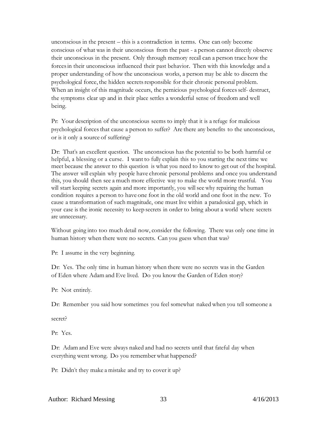unconscious in the present – this is a contradiction in terms. One can only become conscious of what was in their unconscious from the past - a person cannot directly observe their unconscious in the present. Only through memory recall can a person trace how the forcesin their unconscious influenced their past behavior. Then with this knowledge and a proper understanding of how the unconscious works, a person may be able to discern the psychological force, the hidden secrets responsible for their chronic personal problem. When an insight of this magnitude occurs, the pernicious psychological forces self- destruct, the symptoms clear up and in their place settles a wonderful sense of freedom and well being.

Pr: Your description of the unconscious seems to imply that it is a refuge for malicious psychological forcesthat cause a person to suffer? Are there any benefits to the unconscious, or is it only a source of suffering?

Dr: That's an excellent question. The unconscious has the potential to be both harmful or helpful, a blessing or a curse. I want to fully explain this to you starting the next time we meet because the answer to this question is what you need to knowto get out of the hospital. The answer will explain why people have chronic personal problems and once you understand this, you should then see a much more effective way to make the world more trustful. You will start keeping secrets again and more importantly, you will see why repairing the human condition requires a person to have one foot in the old world and one foot in the new. To cause a transformation of such magnitude, one must live within a paradoxical gap, which in your case is the ironic necessity to keep secrets in order to bring about a world where secrets are unnecessary.

Without going into too much detail now, consider the following. There was only one time in human history when there were no secrets. Can you guess when that was?

Pr: I assume in the very beginning.

Dr: Yes. The only time in human history when there were no secrets was in the Garden of Eden where Adam and Eve lived. Do you know the Garden of Eden story?

Pr: Not entirely.

Dr: Remember you said how sometimes you feel somewhat naked when you tell someone a

secret?

Pr: Yes.

Dr: Adamand Eve were always naked and had no secrets until that fateful day when everything went wrong. Do you remember what happened?

Pr: Didn't they make a mistake and try to cover it up?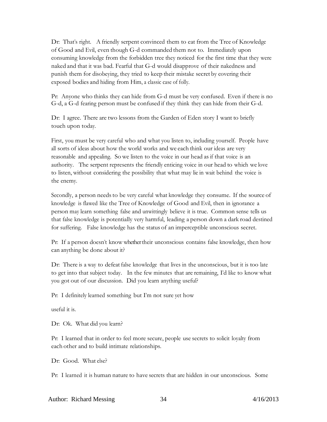Dr: That's right. A friendly serpent convinced them to eat from the Tree of Knowledge of Good and Evil, even though G-d commanded them not to. Immediately upon consuming knowledge from the forbidden tree they noticed for the first time that they were naked and that it was bad. Fearful that G-d would disapprove of their nakedness and punish them for disobeying, they tried to keep their mistake secret by covering their exposed bodies and hiding from Him, a classic case of folly.

Pr: Anyone who thinks they can hide from G-d must be very confused. Even if there is no G-d, a G-d fearing person must be confused if they think they can hide from their G-d.

Dr: I agree. There are two lessons from the Garden of Eden story I want to briefly touch upon today.

First, you must be very careful who and what you listen to, including yourself. People have all sorts of ideas about how the world works and we each think our ideas are very reasonable and appealing. So we listen to the voice in our head as if that voice is an authority. The serpent represents the friendly enticing voice in our head to which we love to listen, without considering the possibility that what may lie in wait behind the voice is the enemy.

Secondly, a person needs to be very careful what knowledge they consume. If the source of knowledge is flawed like the Tree of Knowledge of Good and Evil, then in ignorance a person may learn something false and unwittingly believe it is true. Common sense tells us that false knowledge is potentially very harmful, leading a person down a dark road destined for suffering. False knowledge has the status of an imperceptible unconscious secret.

Pr: If a person doesn't know whether their unconscious contains false knowledge, then how can anything be done about it?

Dr: There is a way to defeat false knowledge that lives in the unconscious, but it is too late to get into that subject today. In the few minutes that are remaining, I'd like to know what you got out of our discussion. Did you learn anything useful?

Pr: I definitely learned something but I'm not sure yet how

useful it is.

Dr: Ok. What did you learn?

Pr: I learned that in order to feel more secure, people use secrets to solicit loyalty from each other and to build intimate relationships.

Dr: Good. What else?

Pr: I learned it is human nature to have secrets that are hidden in our unconscious. Some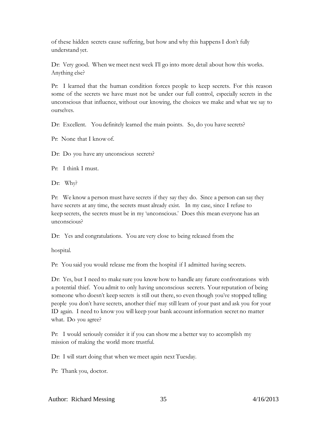of these hidden secrets cause suffering, but how and why this happensI don't fully understand yet.

Dr: Very good. When wemeet next week I'll go into more detail about how this works. Anything else?

Pr: I learned that the human condition forces people to keep secrets. For this reason some of the secrets we have must not be under our full control, especially secrets in the unconscious that influence, without our knowing, the choices we make and what we say to ourselves.

Dr: Excellent. You definitely learned the main points. So, do you have secrets?

Pr: None that I knowof.

Dr: Do you have any unconscious secrets?

Pr: I think I must.

Dr: Why?

Pr: We know a person must have secrets if they say they do. Since a person can say they have secrets at any time, the secrets must already exist. In my case, since I refuse to keep secrets, the secrets must be in my 'unconscious.' Does this mean everyone has an unconscious?

Dr: Yes and congratulations. You are very close to being released from the

hospital.

Pr: You said you would release me from the hospital if I admitted having secrets.

Dr: Yes, but I need to make sure you knowhow to handle any future confrontations with a potential thief. You admit to only having unconscious secrets. Your reputation of being someone who doesn't keep secrets is still out there, so even though you've stopped telling people you don't have secrets, another thief may still learn of your past and ask you for your ID again. I need to know you will keep your bank account information secret no matter what. Do you agree?

Pr: I would seriously consider it if you can show me a better way to accomplish my mission of making the world more trustful.

Dr: I will start doing that when we meet again next Tuesday.

Pr: Thank you, doctor.